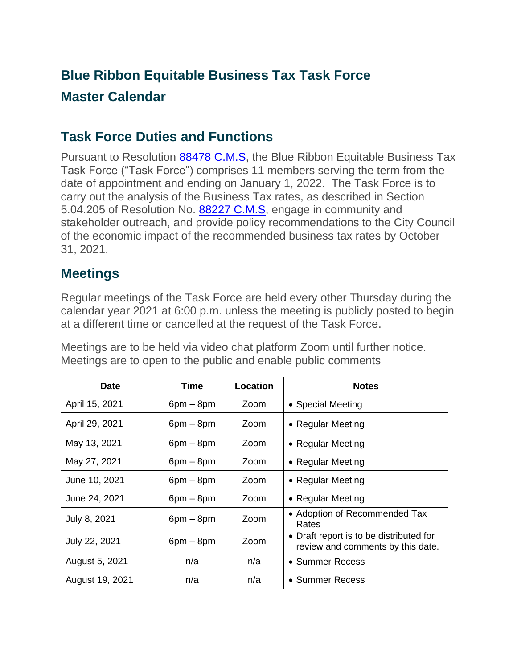## **Blue Ribbon Equitable Business Tax Task Force Master Calendar**

## **Task Force Duties and Functions**

Pursuant to Resolution [88478 C.M.S,](https://oakland.legistar.com/LegislationDetail.aspx?ID=4746758&GUID=646B0F87-82D0-461F-BEA6-2E31F83D00FA&Options=&Search=) the Blue Ribbon Equitable Business Tax Task Force ("Task Force") comprises 11 members serving the term from the date of appointment and ending on January 1, 2022. The Task Force is to carry out the analysis of the Business Tax rates, as described in Section 5.04.205 of Resolution No. [88227 C.M.S,](https://oakland.legistar.com/LegislationDetail.aspx?ID=4575259&GUID=04127B82-3604-47C3-AC82-B32205190AB5&Options=&Search=) engage in community and stakeholder outreach, and provide policy recommendations to the City Council of the economic impact of the recommended business tax rates by October 31, 2021.

## **Meetings**

Regular meetings of the Task Force are held every other Thursday during the calendar year 2021 at 6:00 p.m. unless the meeting is publicly posted to begin at a different time or cancelled at the request of the Task Force.

Meetings are to be held via video chat platform Zoom until further notice. Meetings are to open to the public and enable public comments

| <b>Date</b>     | <b>Time</b> | Location | <b>Notes</b>                                                                 |
|-----------------|-------------|----------|------------------------------------------------------------------------------|
| April 15, 2021  | $6pm - 8pm$ | Zoom     | • Special Meeting                                                            |
| April 29, 2021  | $6pm - 8pm$ | Zoom     | • Regular Meeting                                                            |
| May 13, 2021    | $6pm - 8pm$ | Zoom     | • Regular Meeting                                                            |
| May 27, 2021    | $6pm - 8pm$ | Zoom     | • Regular Meeting                                                            |
| June 10, 2021   | $6pm - 8pm$ | Zoom     | • Regular Meeting                                                            |
| June 24, 2021   | $6pm - 8pm$ | Zoom     | • Regular Meeting                                                            |
| July 8, 2021    | $6pm - 8pm$ | Zoom     | • Adoption of Recommended Tax<br>Rates                                       |
| July 22, 2021   | $6pm - 8pm$ | Zoom     | • Draft report is to be distributed for<br>review and comments by this date. |
| August 5, 2021  | n/a         | n/a      | • Summer Recess                                                              |
| August 19, 2021 | n/a         | n/a      | • Summer Recess                                                              |